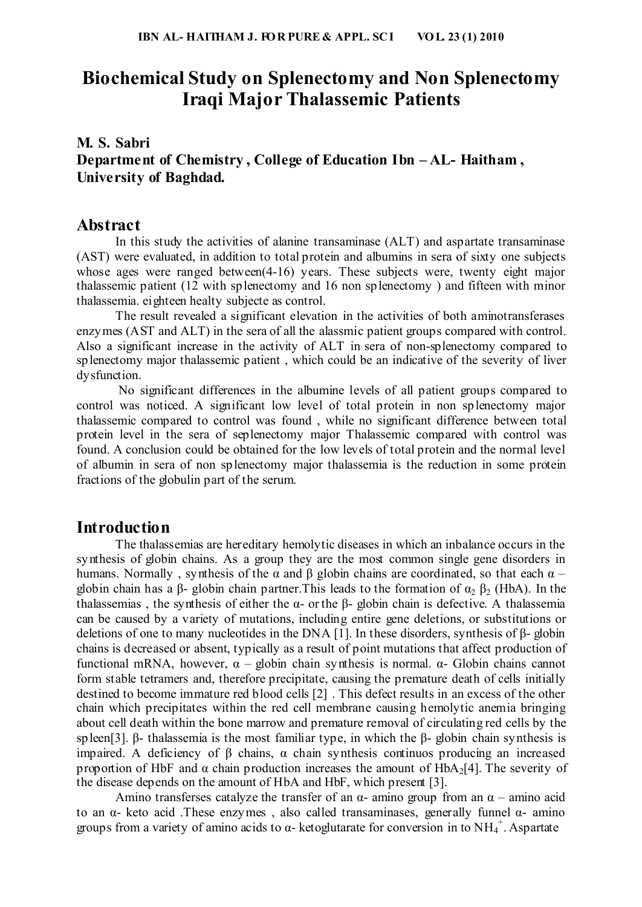## **Biochemical Study on Splenectomy and Non Splenectomy Iraqi Major Thalassemic Patients**

### **M. S. Sabri Department of Chemistry , College of Education Ibn – AL- Haitham , University of Baghdad.**

#### **Abstract**

In this study the activities of alanine transaminase (ALT) and aspartate transaminase (AST) were evaluated, in addition to total protein and albumins in sera of sixty one subjects whose ages were ranged between(4-16) years. These subjects were, twenty eight major thalassemic patient (12 with splenectomy and 16 non splenectomy ) and fifteen with minor thalassemia. eighteen healty subjecte as control.

The result revealed a significant elevation in the activities of both aminotransferases enzymes (AST and ALT) in the sera of all the alassmic patient groups compared with control. Also a significant increase in the activity of ALT in sera of non-splenectomy compared to splenectomy major thalassemic patient , which could be an indicative of the severity of liver dysfunction.

 No significant differences in the albumine levels of all patient groups compared to control was noticed. A significant low level of total protein in non splenectomy major thalassemic compared to control was found , while no significant difference between total protein level in the sera of seplenectomy major Thalassemic compared with control was found. A conclusion could be obtained for the low levels of total protein and the normal level of albumin in sera of non splenectomy major thalassemia is the reduction in some protein fractions of the globulin part of the serum.

#### **Introduction**

The thalassemias are hereditary hemolytic diseases in which an inbalance occurs in the synthesis of globin chains. As a group they are the most common single gene disorders in humans. Normally, synthesis of the α and β globin chains are coordinated, so that each  $α$  – globin chain has a β- globin chain partner. This leads to the formation of  $\alpha_2$  β<sub>2</sub> (HbA). In the thalassemias, the synthesis of either the α- or the β- globin chain is defective. A thalassemia can be caused by a variety of mutations, including entire gene deletions, or substitutions or deletions of one to many nucleotides in the DNA [1]. In these disorders, synthesis of β- globin chains is decreased or absent, typically as a result of point mutations that affect production of functional mRNA, however, α – globin chain synthesis is normal. α- Globin chains cannot form stable tetramers and, therefore precipitate, causing the premature death of cells initially destined to become immature red blood cells [2] . This defect results in an excess of the other chain which precipitates within the red cell membrane causing hemolytic anemia bringing about cell death within the bone marrow and premature removal of circulating red cells by the spleen[3]. β- thalassemia is the most familiar type, in which the β- globin chain synthesis is impaired. A deficiency of β chains, α chain synthesis continuos producing an increased proportion of HbF and  $\alpha$  chain production increases the amount of HbA<sub>2</sub>[4]. The severity of the disease depends on the amount of HbA and HbF, which present [3].

Amino transferses catalyze the transfer of an  $\alpha$ - amino group from an  $\alpha$  – amino acid to an α- keto acid .These enzymes , also called transaminases, generally funnel α- amino groups from a variety of amino acids to  $\alpha$ - ketoglutarate for conversion in to NH<sub>4</sub><sup>+</sup>. Aspartate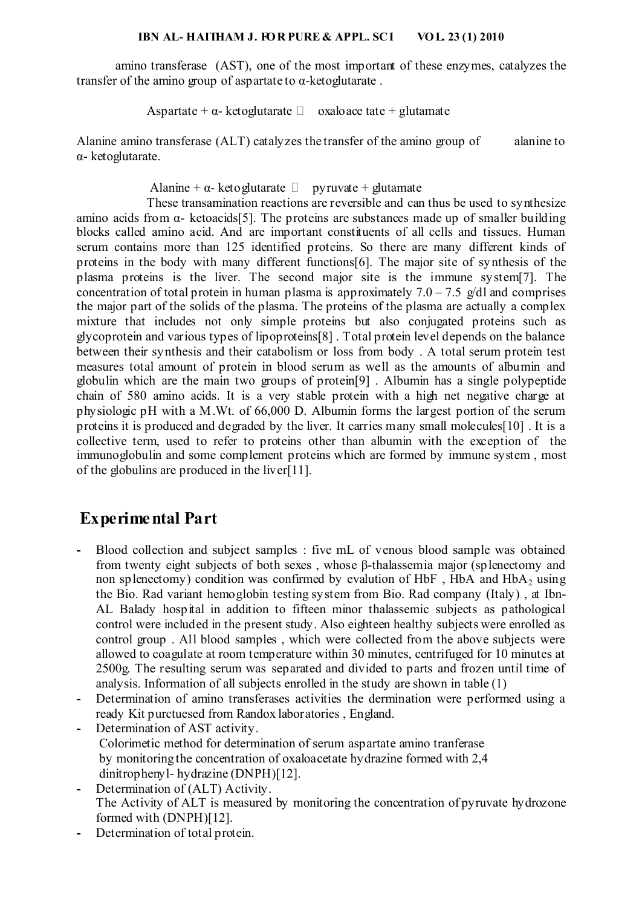#### **IBN AL- HAITHAM J. FOR PURE & APPL. SCI VOL. 23 (1) 2010**

amino transferase (AST), one of the most important of these enzymes, catalyzes the transfer of the amino group of aspartate to  $\alpha$ -ketoglutarate.

Aspartate +  $\alpha$ - ketoglutarate  $\Box$  oxaloace tate + glutamate

Alanine amino transferase (ALT) catalyzes the transfer of the amino group of alanine to α- ketoglutarate.

Alanine +  $\alpha$ - ketoglutarate  $\Box$  pyruvate + glutamate

 These transamination reactions are reversible and can thus be used to synthesize amino acids from  $\alpha$ - ketoacids[5]. The proteins are substances made up of smaller building blocks called amino acid. And are important constituents of all cells and tissues. Human serum contains more than 125 identified proteins. So there are many different kinds of proteins in the body with many different functions[6]. The major site of synthesis of the plasma proteins is the liver. The second major site is the immune system[7]. The concentration of total protein in human plasma is approximately  $7.0 - 7.5$  g/dl and comprises the major part of the solids of the plasma. The proteins of the plasma are actually a complex mixture that includes not only simple proteins but also conjugated proteins such as glycoprotein and various types of lipoproteins[8] . Total protein level depends on the balance between their synthesis and their catabolism or loss from body . A total serum protein test measures total amount of protein in blood serum as well as the amounts of albumin and globulin which are the main two groups of protein[9] . Albumin has a single polypeptide chain of 580 amino acids. It is a very stable protein with a high net negative charge at physiologic pH with a M.Wt. of 66,000 D. Albumin forms the largest portion of the serum proteins it is produced and degraded by the liver. It carries many small molecules[10] . It is a collective term, used to refer to proteins other than albumin with the exception of the immunoglobulin and some complement proteins which are formed by immune system , most of the globulins are produced in the liver[11].

## **Experimental Part**

- **-** Blood collection and subject samples : five mL of venous blood sample was obtained from twenty eight subjects of both sexes , whose β-thalassemia major (splenectomy and non splenectomy) condition was confirmed by evalution of HbF, HbA and  $HbA<sub>2</sub>$  using the Bio. Rad variant hemoglobin testing system from Bio. Rad company (Italy) , at Ibn-AL Balady hospital in addition to fifteen minor thalassemic subjects as pathological control were included in the present study. Also eighteen healthy subjects were enrolled as control group . All blood samples , which were collected from the above subjects were allowed to coagulate at room temperature within 30 minutes, centrifuged for 10 minutes at 2500g. The resulting serum was separated and divided to parts and frozen until time of analysis. Information of all subjects enrolled in the study are shown in table (1)
- **-** Determination of amino transferases activities the dermination were performed using a ready Kit purctuesed from Randox laboratories , England.
- **-** Determination of AST activity. Colorimetic method for determination of serum aspartate amino tranferase by monitoring the concentration of oxaloacetate hydrazine formed with 2,4 dinitrophenyl- hydrazine (DNPH)[12].
- **-** Determination of (ALT) Activity. The Activity of ALT is measured by monitoring the concentration of pyruvate hydrozone formed with (DNPH)[12].
- **-** Determination of total protein.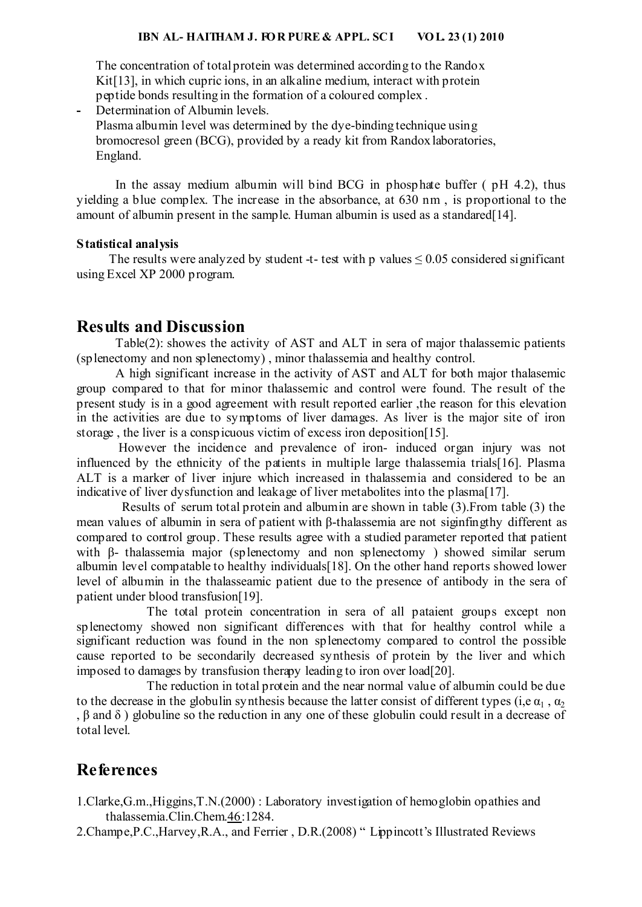The concentration of total protein was determined according to the Randox Kit<sup>[13]</sup>, in which cupric ions, in an alkaline medium, interact with protein peptide bonds resulting in the formation of a coloured complex .

**-** Determination of Albumin levels. Plasma albumin level was determined by the dye-binding technique using bromocresol green (BCG), provided by a ready kit from Randox laboratories, England.

In the assay medium albumin will bind BCG in phosphate buffer ( pH 4.2), thus yielding a blue complex. The increase in the absorbance, at 630 nm , is proportional to the amount of albumin present in the sample. Human albumin is used as a standared[14].

#### **Statistical analysis**

The results were analyzed by student -t- test with p values  $\leq 0.05$  considered significant using Excel XP 2000 program.

#### **Results and Discussion**

 Table(2): showes the activity of AST and ALT in sera of major thalassemic patients (splenectomy and non splenectomy) , minor thalassemia and healthy control.

 A high significant increase in the activity of AST and ALT for both major thalasemic group compared to that for minor thalassemic and control were found. The result of the present study is in a good agreement with result reported earlier ,the reason for this elevation in the activities are due to symptoms of liver damages. As liver is the major site of iron storage , the liver is a conspicuous victim of excess iron deposition[15].

 However the incidence and prevalence of iron- induced organ injury was not influenced by the ethnicity of the patients in multiple large thalassemia trials[16]. Plasma ALT is a marker of liver injure which increased in thalassemia and considered to be an indicative of liver dysfunction and leakage of liver metabolites into the plasma[17].

 Results of serum total protein and albumin are shown in table (3).From table (3) the mean values of albumin in sera of patient with β-thalassemia are not siginfingthy different as compared to control group. These results agree with a studied parameter reported that patient with β- thalassemia major (splenectomy and non splenectomy ) showed similar serum albumin level compatable to healthy individuals[18]. On the other hand reports showed lower level of albumin in the thalasseamic patient due to the presence of antibody in the sera of patient under blood transfusion[19].

 The total protein concentration in sera of all pataient groups except non splenectomy showed non significant differences with that for healthy control while a significant reduction was found in the non splenectomy compared to control the possible cause reported to be secondarily decreased synthesis of protein by the liver and which imposed to damages by transfusion therapy leading to iron over load[20].

 The reduction in total protein and the near normal value of albumin could be due to the decrease in the globulin synthesis because the latter consist of different types (i,e  $\alpha_1$ ,  $\alpha_2$ ) , β and δ ) globuline so the reduction in any one of these globulin could result in a decrease of total level.

### **References**

- 1.Clarke,G.m.,Higgins,T.N.(2000) : Laboratory investigation of hemoglobin opathies and thalassemia.Clin.Chem.46:1284.
- 2.Champe,P.C.,Harvey,R.A., and Ferrier , D.R.(2008) " Lippincott's Illustrated Reviews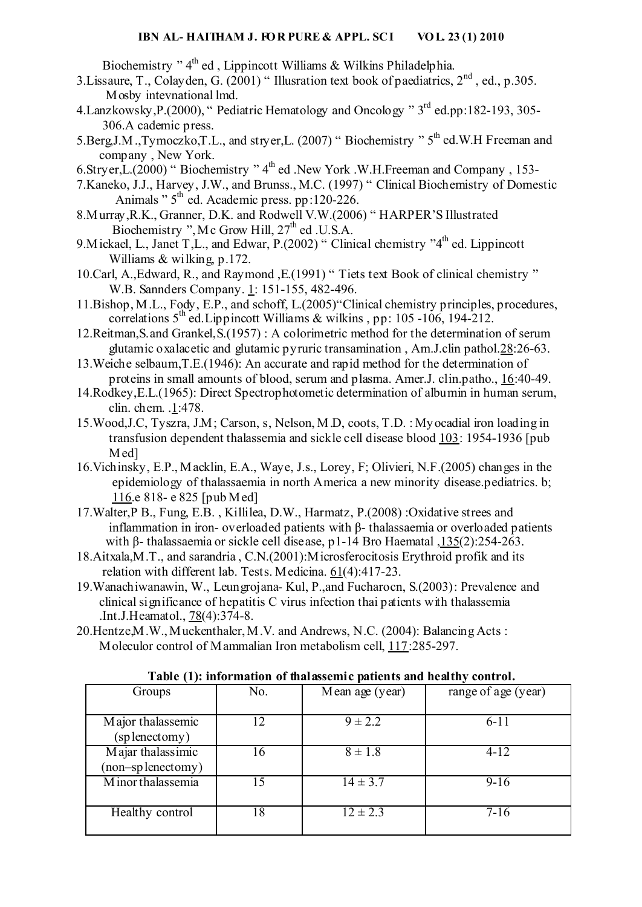Biochemistry "  $4^{\text{th}}$  ed, Lippincott Williams & Wilkins Philadelphia.

- 3. Lissaure, T., Colayden, G.  $(2001)$  " Illusration text book of paediatrics,  $2<sup>nd</sup>$ , ed., p.305. Mosby intevnational lmd.
- 4.Lanzkowsky,P.(2000), " Pediatric Hematology and Oncology " 3rd ed.pp:182-193, 305- 306.A cademic press.
- 5.Berg,J.M.,Tymoczko,T.L., and stryer,L. (2007) "Biochemistry " 5<sup>th</sup> ed.W.H Freeman and company , New York.
- 6.Stryer,  $\text{L}(2000)$  "Biochemistry " 4<sup>th</sup> ed .New York .W.H.Freeman and Company , 153-
- 7.Kaneko, J.J., Harvey, J.W., and Brunss., M.C. (1997) " Clinical Biochemistry of Domestic Animals " $5<sup>th</sup>$  ed. Academic press. pp:120-226.
- 8.Murray,R.K., Granner, D.K. and Rodwell V.W.(2006) " HARPER'S Illustrated Biochemistry ", Mc Grow Hill,  $27<sup>th</sup>$  ed .U.S.A.
- 9. Mickael, L., Janet T,L., and Edwar, P.(2002) "Clinical chemistry "4<sup>th</sup> ed. Lippincott Williams & wilking, p.172.
- 10.Carl, A.,Edward, R., and Raymond ,E.(1991) " Tiets text Book of clinical chemistry " W.B. Sannders Company. 1: 151-155, 482-496.
- 11.Bishop, M.L., Fody, E.P., and schoff, L.(2005)"Clinical chemistry principles, procedures, correlations  $5<sup>th</sup>$  ed. Lippincott Williams & wilkins, pp: 105 -106, 194-212.
- 12.Reitman,S.and Grankel,S.(1957) : A colorimetric method for the determination of serum glutamic oxalacetic and glutamic pyruric transamination , Am.J.clin pathol.28:26-63.
- 13.Weiche selbaum,T.E.(1946): An accurate and rapid method for the determination of proteins in small amounts of blood, serum and plasma. Amer.J. clin.patho., 16:40-49.
- 14.Rodkey,E.L.(1965): Direct Spectrophotometic determination of albumin in human serum, clin. chem. .1:478.
- 15.Wood,J.C, Tyszra, J.M; Carson, s, Nelson, M.D, coots, T.D. : Myocadial iron loading in transfusion dependent thalassemia and sickle cell disease blood 103: 1954-1936 [pub Med<sub>1</sub>
- 16.Vichinsky, E.P., Macklin, E.A., Waye, J.s., Lorey, F; Olivieri, N.F.(2005) changes in the epidemiology of thalassaemia in north America a new minority disease.pediatrics. b; 116.e 818- e 825 [pub Med]
- 17.Walter,P B., Fung, E.B. , Killilea, D.W., Harmatz, P.(2008) :Oxidative strees and inflammation in iron- overloaded patients with β- thalassaemia or overloaded patients with β- thalassaemia or sickle cell disease, p1-14 Bro Haematal ,135(2):254-263.
- 18.Aitxala,M.T., and sarandria , C.N.(2001):Microsferocitosis Erythroid profik and its relation with different lab. Tests. Medicina. 61(4):417-23.
- 19.Wanachiwanawin, W., Leungrojana- Kul, P.,and Fucharocn, S.(2003): Prevalence and clinical significance of hepatitis C virus infection thai patients with thalassemia .Int.J.Heamatol., 78(4):374-8.
- 20.Hentze,M.W., Muckenthaler, M.V. and Andrews, N.C. (2004): Balancing Acts : Moleculor control of Mammalian Iron metabolism cell, 117:285-297.

| -- 1-1-<br><sub>.1</sub>                |     |                 |                     |  |  |  |  |
|-----------------------------------------|-----|-----------------|---------------------|--|--|--|--|
| Groups                                  | No. | Mean age (year) | range of age (year) |  |  |  |  |
| Major thalassemic<br>(splenectomy)      | 12  | $9 \pm 2.2$     | $6 - 11$            |  |  |  |  |
| Majar thalassimic<br>(non-sp lenectomy) | 16  | $8 \pm 1.8$     | $4 - 12$            |  |  |  |  |
| Minor thalassemia                       |     | $14 \pm 3.7$    | $9-16$              |  |  |  |  |
| Healthy control                         | 18  | $12 \pm 2.3$    | $7-16$              |  |  |  |  |

**Table (1): information of thalassemic patients and healthy control.**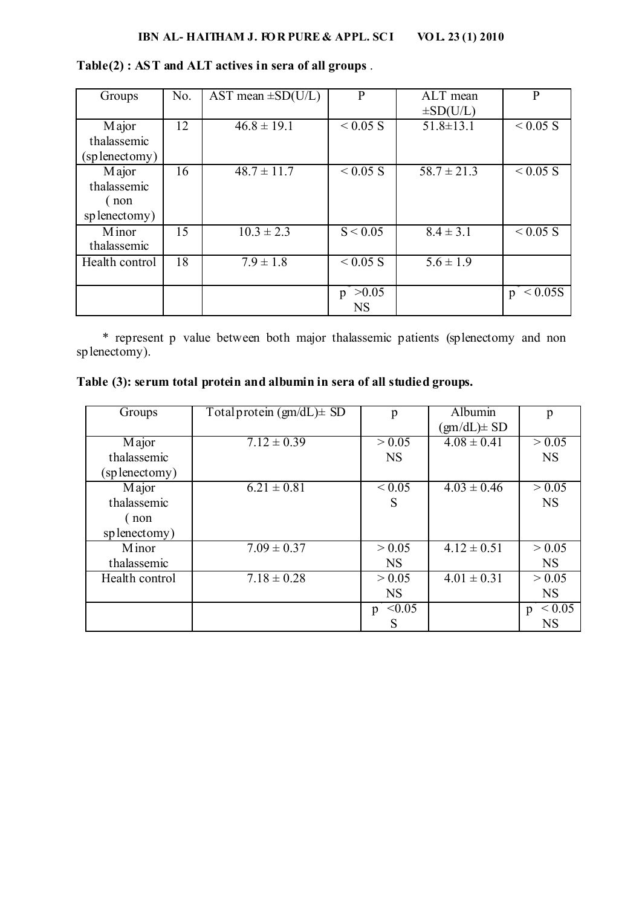#### **IBN AL- HAITHAM J. FOR PURE & APPL. SCI VOL. 23 (1) 2010**

| Groups                                       | No. | AST mean $\pm$ SD(U/L)    | P                       | ALT mean<br>$\pm SD(U/L)$ | $\mathbf{P}$ |
|----------------------------------------------|-----|---------------------------|-------------------------|---------------------------|--------------|
| Major<br>thalassemic<br>(splenectomy)        | 12  | $46.8 \pm 19.1$           | $< 0.05$ S              | $51.8 \pm 13.1$           | $< 0.05$ S   |
| Major<br>thalassemic<br>(non<br>splenectomy) | 16  | $48.7 \pm 11.7$           | $< 0.05$ S              | $58.7 \pm 21.3$           | $< 0.05$ S   |
| Minor<br>thalassemic                         | 15  | $\overline{10.3} \pm 2.3$ | S < 0.05                | $8.4 \pm 3.1$             | $< 0.05$ S   |
| Health control                               | 18  | $7.9 \pm 1.8$             | $< 0.05$ S              | $5.6 \pm 1.9$             |              |
|                                              |     |                           | >0.05<br>p<br><b>NS</b> |                           | < 0.05S<br>p |

#### **Table(2) : AST and ALT actives in sera of all groups** .

 \* represent p value between both major thalassemic patients (splenectomy and non splenectomy).

#### **Table (3): serum total protein and albumin in sera of all studied groups.**

| Groups         | $Total protein (gm/dL) \pm SD$ | p                | <b>Albumin</b>   | p                |
|----------------|--------------------------------|------------------|------------------|------------------|
|                |                                |                  | $(gm/dL) \pm SD$ |                  |
| Major          | $7.12 \pm 0.39$                | > 0.05           | $4.08 \pm 0.41$  | > 0.05           |
| thalassemic    |                                | <b>NS</b>        |                  | <b>NS</b>        |
| (splenectomy)  |                                |                  |                  |                  |
| Major          | $6.21 \pm 0.81$                | $\leq 0.05$      | $4.03 \pm 0.46$  | > 0.05           |
| thalassemic    |                                | S                |                  | <b>NS</b>        |
| (non           |                                |                  |                  |                  |
| splenectomy)   |                                |                  |                  |                  |
| <b>M</b> inor  | $7.09 \pm 0.37$                | > 0.05           | $4.12 \pm 0.51$  | > 0.05           |
| thalassemic    |                                | <b>NS</b>        |                  | <b>NS</b>        |
| Health control | $7.18 \pm 0.28$                | > 0.05           | $4.01 \pm 0.31$  | > 0.05           |
|                |                                | <b>NS</b>        |                  | <b>NS</b>        |
|                |                                | $\leq 0.05$<br>p |                  | ${}_{0.05}$<br>p |
|                |                                | S                |                  | <b>NS</b>        |